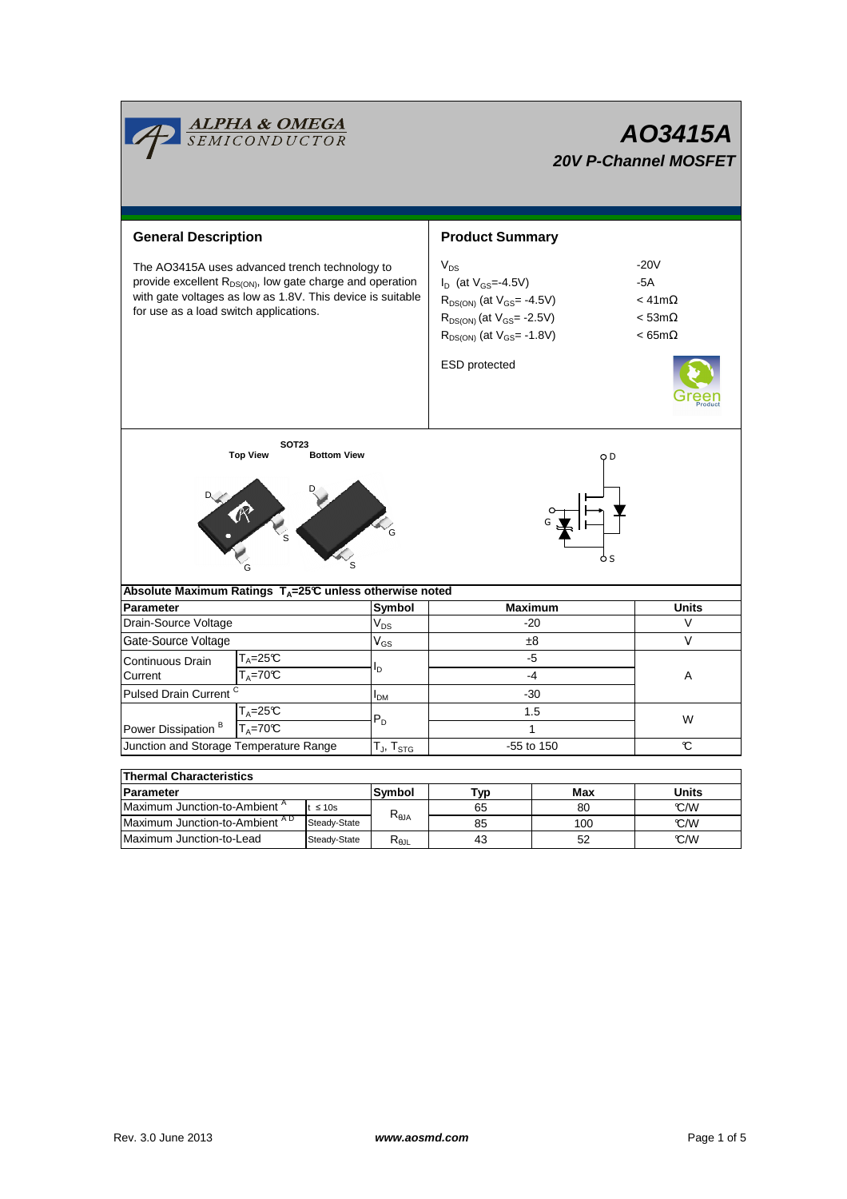|                                                                                                                                                                                                                                 | <b>ALPHA &amp; OMEGA</b><br>SEMICONDUCTOR |                 |                                  | AO3415A<br><b>20V P-Channel MOSFET</b>                                                                                                                                        |                                                                          |              |  |  |  |
|---------------------------------------------------------------------------------------------------------------------------------------------------------------------------------------------------------------------------------|-------------------------------------------|-----------------|----------------------------------|-------------------------------------------------------------------------------------------------------------------------------------------------------------------------------|--------------------------------------------------------------------------|--------------|--|--|--|
| <b>General Description</b>                                                                                                                                                                                                      |                                           |                 |                                  | <b>Product Summary</b>                                                                                                                                                        |                                                                          |              |  |  |  |
| The AO3415A uses advanced trench technology to<br>provide excellent R <sub>DS(ON)</sub> , low gate charge and operation<br>with gate voltages as low as 1.8V. This device is suitable<br>for use as a load switch applications. |                                           |                 |                                  | $V_{DS}$<br>$I_D$ (at $V_{GS} = -4.5V$ )<br>$R_{DS(ON)}$ (at $V_{GS} = -4.5V$ )<br>$R_{DS(ON)}$ (at $V_{GS}$ = -2.5V)<br>$R_{DS(ON)}$ (at $V_{GS} = -1.8V$ )<br>ESD protected | $-20V$<br>$-5A$<br>$<$ 41m $\Omega$<br>$<$ 53m $\Omega$<br>$< 65m\Omega$ |              |  |  |  |
| <b>SOT23</b><br><b>Top View</b><br><b>Bottom View</b><br><b>Contraction Contraction</b><br>Absolute Maximum Ratings T <sub>A</sub> =25℃ unless otherwise noted                                                                  |                                           |                 |                                  |                                                                                                                                                                               |                                                                          |              |  |  |  |
| <b>Parameter</b>                                                                                                                                                                                                                |                                           | Symbol          | <b>Maximum</b>                   | <b>Units</b>                                                                                                                                                                  |                                                                          |              |  |  |  |
| Drain-Source Voltage                                                                                                                                                                                                            |                                           |                 | $\mathsf{V}_{\mathsf{DS}}$       | $-20$                                                                                                                                                                         |                                                                          | V            |  |  |  |
| Gate-Source Voltage                                                                                                                                                                                                             |                                           |                 | $V_{GS}$                         | ±8                                                                                                                                                                            |                                                                          | $\vee$       |  |  |  |
| $T_A = 25C$<br>Continuous Drain<br>$T_A = 70C$<br>Current                                                                                                                                                                       |                                           |                 |                                  |                                                                                                                                                                               | -5                                                                       |              |  |  |  |
|                                                                                                                                                                                                                                 |                                           |                 | l <sub>D</sub>                   | $-4$                                                                                                                                                                          |                                                                          | A            |  |  |  |
| Pulsed Drain Current <sup>C</sup>                                                                                                                                                                                               |                                           | I <sub>DМ</sub> | $-30$                            |                                                                                                                                                                               |                                                                          |              |  |  |  |
|                                                                                                                                                                                                                                 | $T_A = 25C$                               |                 |                                  |                                                                                                                                                                               | 1.5                                                                      |              |  |  |  |
| Power Dissipation <sup>B</sup>                                                                                                                                                                                                  |                                           | $P_D$           | $\mathbf{1}$                     |                                                                                                                                                                               | W                                                                        |              |  |  |  |
| $T_A = 70C$<br>Junction and Storage Temperature Range                                                                                                                                                                           |                                           |                 | $T_J$ , $T_{STG}$                | -55 to 150                                                                                                                                                                    |                                                                          | C            |  |  |  |
|                                                                                                                                                                                                                                 |                                           |                 |                                  |                                                                                                                                                                               |                                                                          |              |  |  |  |
| <b>Thermal Characteristics</b>                                                                                                                                                                                                  |                                           |                 |                                  |                                                                                                                                                                               |                                                                          |              |  |  |  |
| Parameter                                                                                                                                                                                                                       |                                           |                 | Symbol                           | Typ                                                                                                                                                                           | Max                                                                      | <b>Units</b> |  |  |  |
| Maximum Junction-to-Ambient <sup>A</sup><br>$t \leq 10s$                                                                                                                                                                        |                                           |                 |                                  | 65                                                                                                                                                                            | 80                                                                       | °C/W         |  |  |  |
| Maximum Junction-to-Ambient AD                                                                                                                                                                                                  |                                           | Steady-State    | $\mathsf{R}_{\theta\mathsf{JA}}$ | 85                                                                                                                                                                            | 100                                                                      | °C/W         |  |  |  |
| Maximum Junction-to-Lead                                                                                                                                                                                                        |                                           | Steady-State    | $\mathsf{R}_{\theta\mathsf{JL}}$ | 43                                                                                                                                                                            | 52                                                                       | °C/W         |  |  |  |

Steady-State  $R_{\theta JL}$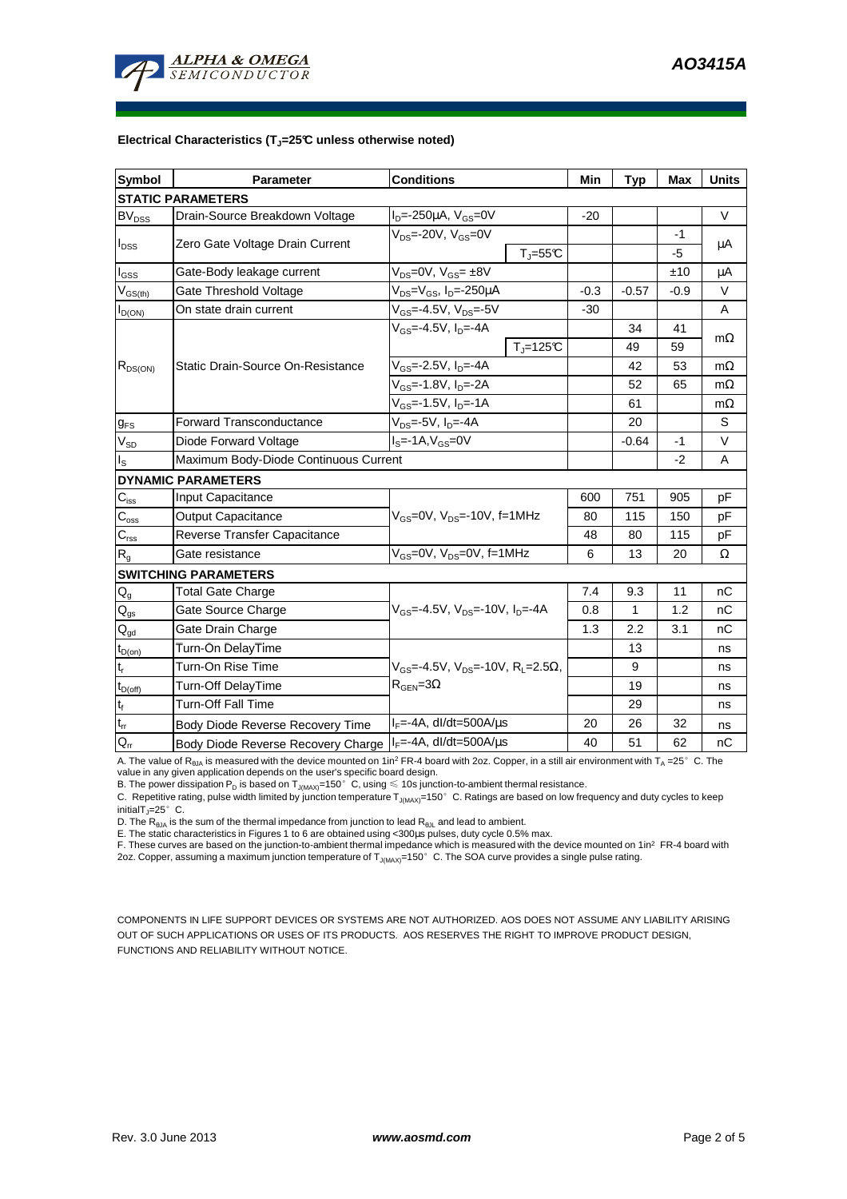

#### **Electrical Characteristics (TJ=25°C unless otherwise noted)**

| <b>Symbol</b>               | Parameter                                                              | <b>Conditions</b>                                                        | Min    | <b>Typ</b> | <b>Max</b> | <b>Units</b> |  |  |  |  |  |
|-----------------------------|------------------------------------------------------------------------|--------------------------------------------------------------------------|--------|------------|------------|--------------|--|--|--|--|--|
| <b>STATIC PARAMETERS</b>    |                                                                        |                                                                          |        |            |            |              |  |  |  |  |  |
| <b>BV<sub>DSS</sub></b>     | Drain-Source Breakdown Voltage                                         | $I_{D} = -250 \mu A$ , $V_{GS} = 0V$                                     | $-20$  |            |            | $\vee$       |  |  |  |  |  |
| $I_{DSS}$                   | Zero Gate Voltage Drain Current                                        | $V_{DS}$ =-20V, $V_{GS}$ =0V<br>$T_{\parallel} = 55$ °C                  |        |            | $-1$<br>-5 | $\mu$ A      |  |  |  |  |  |
| $I_{GSS}$                   | Gate-Body leakage current                                              | $V_{DS} = 0V$ , $V_{GS} = \pm 8V$                                        |        |            | ±10        | μA           |  |  |  |  |  |
| $V_{GS(th)}$                | $V_{DS}$ = $V_{GS}$ , I <sub>D</sub> =-250µA<br>Gate Threshold Voltage |                                                                          | $-0.3$ | $-0.57$    | -0.9       | V            |  |  |  |  |  |
| $I_{D(ON)}$                 | On state drain current                                                 | $V_{GS} = -4.5V, V_{DS} = -5V$                                           | $-30$  |            |            | A            |  |  |  |  |  |
| $R_{DS(ON)}$                |                                                                        | $V_{GS} = -4.5V$ , $I_D = -4A$                                           |        | 34         | 41         |              |  |  |  |  |  |
|                             |                                                                        | $T_{\parallel} = 125$ °C                                                 |        | 49         | 59         | $m\Omega$    |  |  |  |  |  |
|                             | Static Drain-Source On-Resistance                                      | $V_{GS}$ =-2.5V, $I_{D}$ =-4A                                            |        | 42         | 53         | $m\Omega$    |  |  |  |  |  |
|                             |                                                                        | $V_{GS}$ =-1.8V, $I_{D}$ =-2A                                            |        | 52         | 65         | $m\Omega$    |  |  |  |  |  |
|                             |                                                                        | $V_{GS}$ =-1.5V, $I_{D}$ =-1A                                            |        | 61         |            | $m\Omega$    |  |  |  |  |  |
| $g_{FS}$                    | $V_{DS}$ =-5V, $I_D$ =-4A<br><b>Forward Transconductance</b>           |                                                                          |        | 20         |            | S            |  |  |  |  |  |
| $V_{SD}$                    | $IS=-1A, VGS=0V$<br>Diode Forward Voltage                              |                                                                          |        | $-0.64$    | -1         | V            |  |  |  |  |  |
| $I_{\rm S}$                 | Maximum Body-Diode Continuous Current                                  |                                                                          |        | $-2$       | A          |              |  |  |  |  |  |
|                             | <b>DYNAMIC PARAMETERS</b>                                              |                                                                          |        |            |            |              |  |  |  |  |  |
| $C_{\rm iss}$               | <b>Input Capacitance</b>                                               |                                                                          |        | 751        | 905        | pF           |  |  |  |  |  |
| $C_{\rm oss}$               | <b>Output Capacitance</b>                                              | $V_{GS}$ =0V, $V_{DS}$ =-10V, f=1MHz                                     | 80     | 115        | 150        | pF           |  |  |  |  |  |
| $\mathsf{C}_{\text{rss}}$   | Reverse Transfer Capacitance                                           |                                                                          | 48     | 80         | 115        | pF           |  |  |  |  |  |
| $\mathsf{R}_{\mathsf{g}}$   | Gate resistance                                                        | $V_{GS}$ =0V, $V_{DS}$ =0V, f=1MHz                                       | 6      | 13         | 20         | Ω            |  |  |  |  |  |
|                             | <b>SWITCHING PARAMETERS</b>                                            |                                                                          |        |            |            |              |  |  |  |  |  |
| $Q_g$                       | <b>Total Gate Charge</b>                                               |                                                                          | 7.4    | 9.3        | 11         | nC           |  |  |  |  |  |
| $Q_{gs}$                    | Gate Source Charge                                                     | $V_{\text{GS}} = -4.5V$ , $V_{\text{DS}} = -10V$ , $I_{\text{DS}} = -4A$ | 0.8    | 1          | 1.2        | nC           |  |  |  |  |  |
| $\mathsf{Q}_{\text{gd}}$    | Gate Drain Charge                                                      |                                                                          | 1.3    | 2.2        | 3.1        | nC           |  |  |  |  |  |
| $t_{D(on)}$                 | Turn-On DelayTime                                                      |                                                                          |        | 13         |            | ns           |  |  |  |  |  |
| $\mathfrak{t}_{\mathsf{r}}$ | Turn-On Rise Time                                                      | $V_{GS}$ =-4.5V, $V_{DS}$ =-10V, R <sub>1</sub> =2.5 $\Omega$ ,          |        | 9          |            | ns           |  |  |  |  |  |
| $t_{D(off)}$                | Turn-Off DelayTime                                                     | $R_{\text{GFN}} = 3\Omega$                                               |        | 19         |            | ns           |  |  |  |  |  |
| $t_f$                       | <b>Turn-Off Fall Time</b>                                              |                                                                          |        | 29         |            | ns           |  |  |  |  |  |
| $\mathsf{t}_\mathsf{rr}$    | Body Diode Reverse Recovery Time                                       | $I_F = -4A$ , dl/dt=500A/ $\mu$ s                                        | 20     | 26         | 32         | ns           |  |  |  |  |  |
| $\mathsf{Q}_{\mathsf{rr}}$  | Body Diode Reverse Recovery Charge                                     | $I_F = -4A$ , dl/dt=500A/ $\mu$ s                                        | 40     | 51         | 62         | nC           |  |  |  |  |  |

A. The value of  $R_{\theta_0A}$  is measured with the device mounted on 1in<sup>2</sup> FR-4 board with 2oz. Copper, in a still air environment with T<sub>A</sub> =25°C. The

value in any given application depends on the user's specific board design.<br>B. The power dissipation P<sub>D</sub> is based on T<sub>J(MAX)</sub>=150°C, using ≤ 10s junction-to-ambient thermal resistance.

C. Repetitive rating, pulse width limited by junction temperature  $T_{J(MAX)}$ =150°C. Ratings are based on low frequency and duty cycles to keep initialT $_J=25^\circ$  C.

D. The  $R_{\theta JA}$  is the sum of the thermal impedance from junction to lead  $R_{\theta JL}$  and lead to ambient.

E. The static characteristics in Figures 1 to 6 are obtained using <300µs pulses, duty cycle 0.5% max.

F. These curves are based on the junction-to-ambient thermal impedance which is measured with the device mounted on 1in<sup>2</sup> FR-4 board with 2oz. Copper, assuming a maximum junction temperature of  $T_{J(MAX)}$ =150°C. The SOA curve provides a single pulse rating.

COMPONENTS IN LIFE SUPPORT DEVICES OR SYSTEMS ARE NOT AUTHORIZED. AOS DOES NOT ASSUME ANY LIABILITY ARISING OUT OF SUCH APPLICATIONS OR USES OF ITS PRODUCTS. AOS RESERVES THE RIGHT TO IMPROVE PRODUCT DESIGN, FUNCTIONS AND RELIABILITY WITHOUT NOTICE.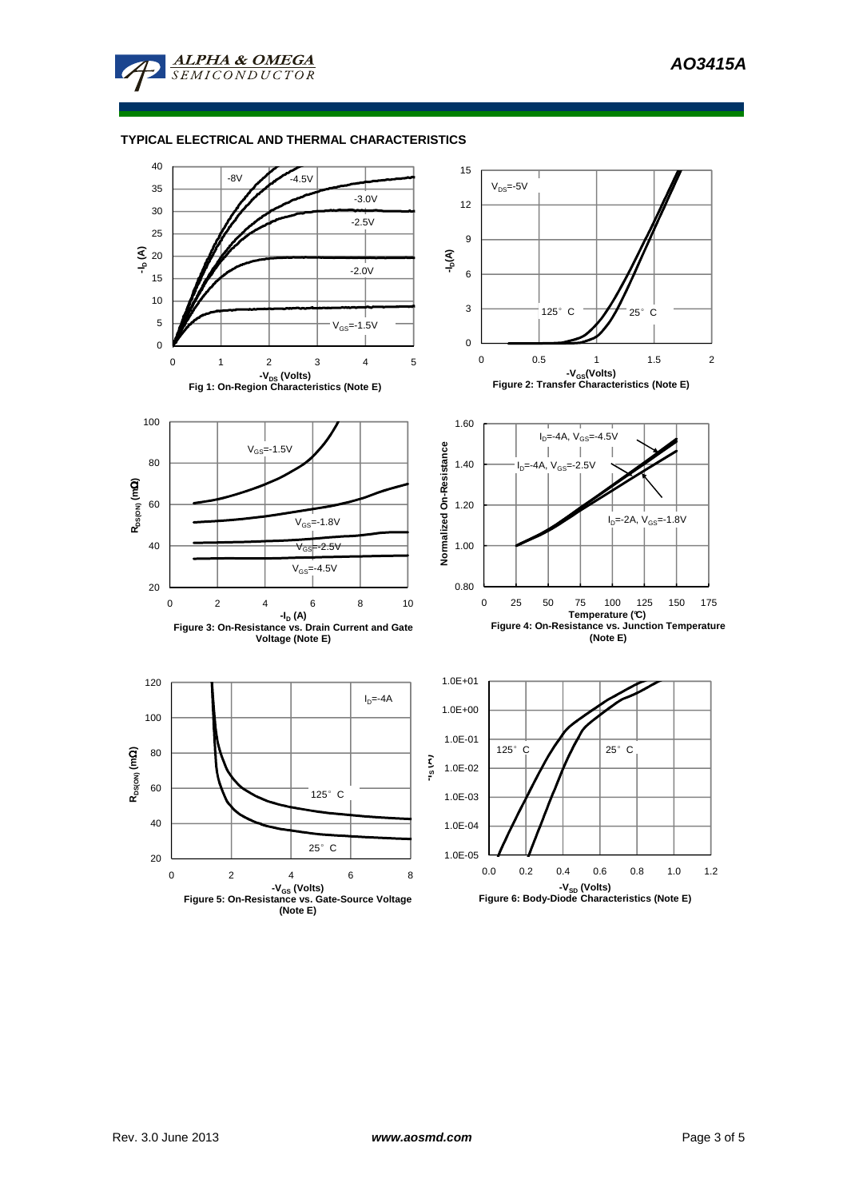

## **TYPICAL ELECTRICAL AND THERMAL CHARACTERISTICS**

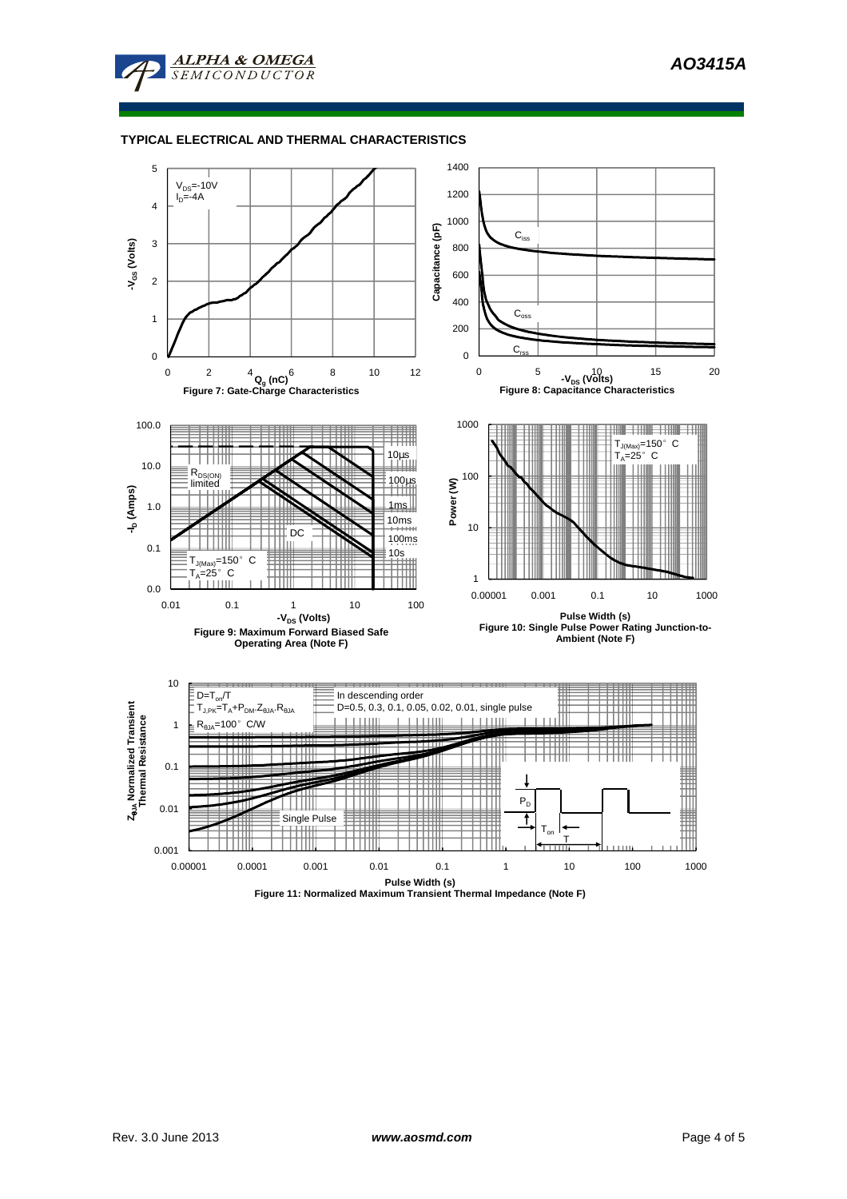

### **TYPICAL ELECTRICAL AND THERMAL CHARACTERISTICS**